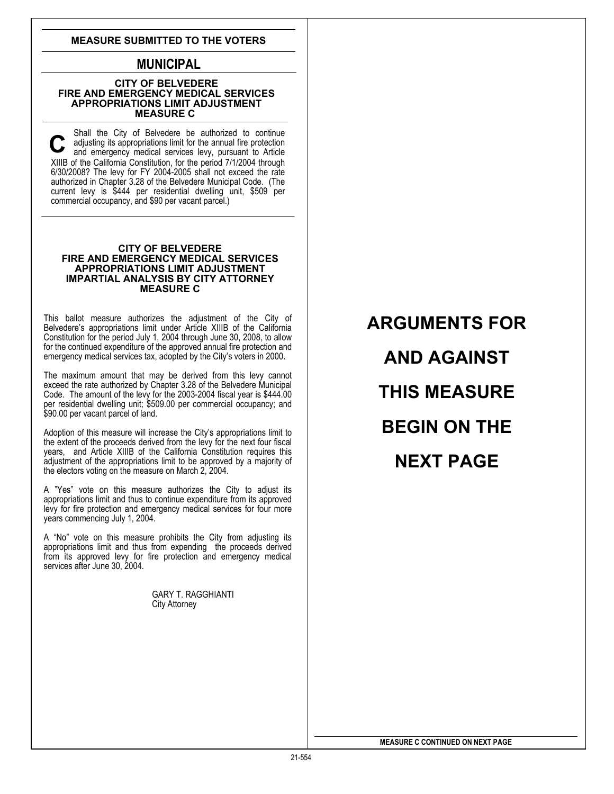### **MEASURE SUBMITTED TO THE VOTERS**

# **MUNICIPAL**

#### **CITY OF BELVEDERE FIRE AND EMERGENCY MEDICAL SERVICES APPROPRIATIONS LIMIT ADJUSTMENT MEASURE C**

Shall the City of Belvedere be authorized to continue adjusting its appropriations limit for the annual fire protection and emergency medical services levy, pursuant to Article XIIIB of the California Constitution, for the period 7/1/2004 through 6/30/2008? The levy for FY 2004-2005 shall not exceed the rate authorized in Chapter 3.28 of the Belvedere Municipal Code. (The current levy is \$444 per residential dwelling unit, \$509 per commercial occupancy, and \$90 per vacant parcel.) **C** 

### **CITY OF BELVEDERE FIRE AND EMERGENCY MEDICAL SERVICES APPROPRIATIONS LIMIT ADJUSTMENT IMPARTIAL ANALYSIS BY CITY ATTORNEY MEASURE C**

This ballot measure authorizes the adjustment of the City of Belvedere's appropriations limit under Article XIIIB of the California Constitution for the period July 1, 2004 through June 30, 2008, to allow for the continued expenditure of the approved annual fire protection and emergency medical services tax, adopted by the City's voters in 2000.

The maximum amount that may be derived from this levy cannot exceed the rate authorized by Chapter 3.28 of the Belvedere Municipal Code. The amount of the levy for the 2003-2004 fiscal year is \$444.00 per residential dwelling unit; \$509.00 per commercial occupancy; and \$90.00 per vacant parcel of land.

Adoption of this measure will increase the City's appropriations limit to the extent of the proceeds derived from the levy for the next four fiscal years, and Article XIIIB of the California Constitution requires this adjustment of the appropriations limit to be approved by a majority of the electors voting on the measure on March 2, 2004.

A "Yes" vote on this measure authorizes the City to adjust its appropriations limit and thus to continue expenditure from its approved levy for fire protection and emergency medical services for four more years commencing July 1, 2004.

A "No" vote on this measure prohibits the City from adjusting its appropriations limit and thus from expending the proceeds derived from its approved levy for fire protection and emergency medical services after June 30, 2004.

GARY T. RAGGHIANTI City Attorney

**ARGUMENTS FOR AND AGAINST THIS MEASURE BEGIN ON THE NEXT PAGE**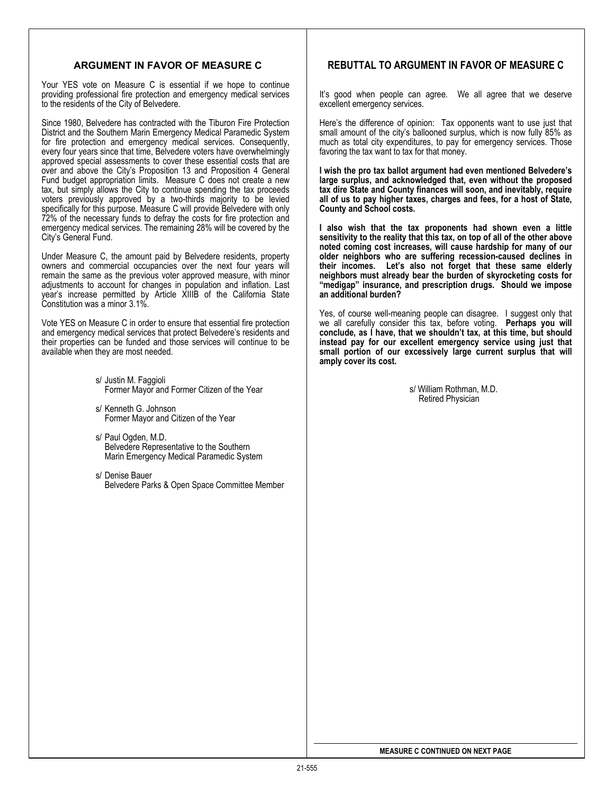## **ARGUMENT IN FAVOR OF MEASURE C**

Your YES vote on Measure C is essential if we hope to continue providing professional fire protection and emergency medical services to the residents of the City of Belvedere.

Since 1980, Belvedere has contracted with the Tiburon Fire Protection District and the Southern Marin Emergency Medical Paramedic System for fire protection and emergency medical services. Consequently, every four years since that time, Belvedere voters have overwhelmingly approved special assessments to cover these essential costs that are over and above the City's Proposition 13 and Proposition 4 General Fund budget appropriation limits. Measure C does not create a new tax, but simply allows the City to continue spending the tax proceeds voters previously approved by a two-thirds majority to be levied specifically for this purpose. Measure C will provide Belvedere with only 72% of the necessary funds to defray the costs for fire protection and emergency medical services. The remaining 28% will be covered by the City's General Fund.

Under Measure C, the amount paid by Belvedere residents, property owners and commercial occupancies over the next four years will remain the same as the previous voter approved measure, with minor adjustments to account for changes in population and inflation. Last year's increase permitted by Article XIIIB of the California State Constitution was a minor 3.1%.

Vote YES on Measure C in order to ensure that essential fire protection and emergency medical services that protect Belvedere's residents and their properties can be funded and those services will continue to be available when they are most needed.

- s/ Justin M. Faggioli Former Mayor and Former Citizen of the Year
- s/ Kenneth G. Johnson Former Mayor and Citizen of the Year
- s/ Paul Ogden, M.D.<br>Belvedere Representative to the Southern Marin Emergency Medical Paramedic System
- s/ Denise Bauer Belvedere Parks & Open Space Committee Member

## **REBUTTAL TO ARGUMENT IN FAVOR OF MEASURE C**

It's good when people can agree. We all agree that we deserve excellent emergency services.

Here's the difference of opinion: Tax opponents want to use just that small amount of the city's ballooned surplus, which is now fully 85% as much as total city expenditures, to pay for emergency services. Those favoring the tax want to tax for that money.

**I wish the pro tax ballot argument had even mentioned Belvedere's large surplus, and acknowledged that, even without the proposed tax dire State and County finances will soon, and inevitably, require all of us to pay higher taxes, charges and fees, for a host of State, County and School costs.** 

**I also wish that the tax proponents had shown even a little sensitivity to the reality that this tax, on top of all of the other above noted coming cost increases, will cause hardship for many of our older neighbors who are suffering recession-caused declines in their incomes. Let's also not forget that these same elderly neighbors must already bear the burden of skyrocketing costs for "medigap" insurance, and prescription drugs. Should we impose an additional burden?**

Yes, of course well-meaning people can disagree. I suggest only that we all carefully consider this tax, before voting. **Perhaps you will conclude, as I have, that we shouldn't tax, at this time, but should instead pay for our excellent emergency service using just that small portion of our excessively large current surplus that will amply cover its cost.** 

> s/ William Rothman, M.D. Retired Physician